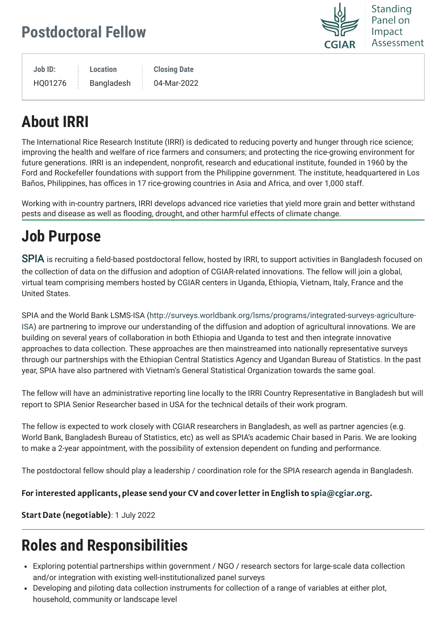### **Postdoctoral Fellow**

Standing Panel on Impact Assessment

**Job ID:**

HQ01276

**Location** Bangladesh **Closing Date** 04-Mar-2022

## **About IRRI**

The International Rice Research Institute (IRRI) is dedicated to reducing poverty and hunger through rice science; improving the health and welfare of rice farmers and consumers; and protecting the rice-growing environment for future generations. IRRI is an independent, nonprofit, research and educational institute, founded in 1960 by the Ford and Rockefeller foundations with support from the Philippine government. The institute, headquartered in Los Baños, Philippines, has offices in 17 rice-growing countries in Asia and Africa, and over 1,000 staff.

Working with in-country partners, IRRI develops advanced rice varieties that yield more grain and better withstand pests and disease as well as flooding, drought, and other harmful effects of climate change.

# **Job Purpose**

[SPIA](https://cas.cgiar.org/spia) is recruiting a field-based postdoctoral fellow, hosted by IRRI, to support activities in Bangladesh focused on the collection of data on the diffusion and adoption of CGIAR-related innovations. The fellow will join a global, virtual team comprising members hosted by CGIAR centers in Uganda, Ethiopia, Vietnam, Italy, France and the United States.

[SPIA and the World Bank LSMS-ISA \(http://surveys.worldbank.org/lsms/programs/integrated-surveys-agriculture-](http://surveys.worldbank.org/lsms/programs/integrated-surveys-agriculture-ISA)ISA) are partnering to improve our understanding of the diffusion and adoption of agricultural innovations. We are building on several years of collaboration in both Ethiopia and Uganda to test and then integrate innovative approaches to data collection. These approaches are then mainstreamed into nationally representative surveys through our partnerships with the Ethiopian Central Statistics Agency and Ugandan Bureau of Statistics. In the past year, SPIA have also partnered with Vietnam's General Statistical Organization towards the same goal.

The fellow will have an administrative reporting line locally to the IRRI Country Representative in Bangladesh but will report to SPIA Senior Researcher based in USA for the technical details of their work program.

The fellow is expected to work closely with CGIAR researchers in Bangladesh, as well as partner agencies (e.g. World Bank, Bangladesh Bureau of Statistics, etc) as well as SPIA's academic Chair based in Paris. We are looking to make a 2-year appointment, with the possibility of extension dependent on funding and performance.

The postdoctoral fellow should play a leadership / coordination role for the SPIA research agenda in Bangladesh.

#### For interested applicants, please send your CV and cover letter in English to [spia@cgiar.org](mailto:spia@cgiar.org).

Start Date (negotiable): 1 July 2022

### **Roles and Responsibilities**

- Exploring potential partnerships within government / NGO / research sectors for large-scale data collection and/or integration with existing well-institutionalized panel surveys
- Developing and piloting data collection instruments for collection of a range of variables at either plot, household, community or landscape level